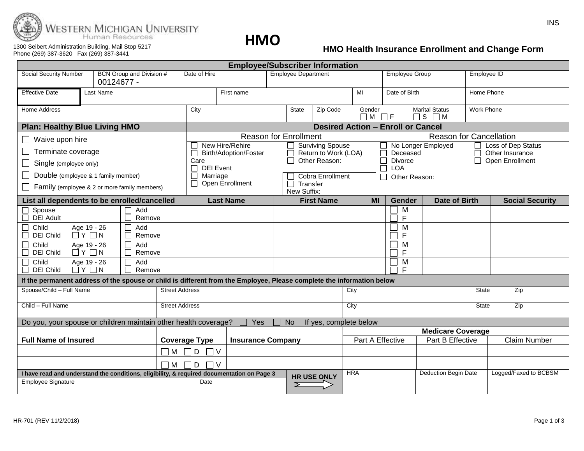

**HMO**

#### 1300 Seibert Administration Building, Mail Stop 5217 Phone (269) 387-3620 Fax (269) 387-3441

# **HMO Health Insurance Enrollment and Change Form**

| <b>Employee/Subscriber Information</b>                                                                                  |                                                                  |               |  |                                                                                                    |  |  |                            |          |                              |                             |                              |                                                |                                       |                                |                       |                        |  |
|-------------------------------------------------------------------------------------------------------------------------|------------------------------------------------------------------|---------------|--|----------------------------------------------------------------------------------------------------|--|--|----------------------------|----------|------------------------------|-----------------------------|------------------------------|------------------------------------------------|---------------------------------------|--------------------------------|-----------------------|------------------------|--|
| <b>Social Security Number</b><br>BCN Group and Division #<br>00124677 -                                                 |                                                                  |               |  | Date of Hire                                                                                       |  |  | <b>Employee Department</b> |          |                              |                             | <b>Employee Group</b>        |                                                |                                       | Employee ID                    |                       |                        |  |
| <b>Effective Date</b>                                                                                                   | Last Name                                                        |               |  | First name                                                                                         |  |  |                            |          | MI                           |                             | Date of Birth                |                                                |                                       | Home Phone                     |                       |                        |  |
| <b>Home Address</b>                                                                                                     |                                                                  |               |  | City                                                                                               |  |  | State                      | Zip Code |                              | Gender<br>$\Box M$ $\Box F$ |                              | <b>Marital Status</b><br>$\Box$ $S$ $\Box$ $M$ |                                       | <b>Work Phone</b>              |                       |                        |  |
| <b>Plan: Healthy Blue Living HMO</b>                                                                                    |                                                                  |               |  | <b>Desired Action - Enroll or Cancel</b>                                                           |  |  |                            |          |                              |                             |                              |                                                |                                       |                                |                       |                        |  |
| Waive upon hire                                                                                                         |                                                                  |               |  | <b>Reason for Enrollment</b>                                                                       |  |  |                            |          |                              |                             |                              |                                                |                                       | <b>Reason for Cancellation</b> |                       |                        |  |
| Terminate coverage                                                                                                      |                                                                  |               |  | New Hire/Rehire<br><b>Surviving Spouse</b><br>Return to Work (LOA)<br><b>Birth/Adoption/Foster</b> |  |  |                            | Deceased |                              |                             | No Longer Employed<br>$\Box$ |                                                | Loss of Dep Status<br>Other Insurance |                                |                       |                        |  |
| Single (employee only)                                                                                                  |                                                                  |               |  | Other Reason:<br>Care<br><b>DEI</b> Event                                                          |  |  |                            |          | <b>Divorce</b><br><b>LOA</b> |                             |                              |                                                | П<br>Open Enrollment                  |                                |                       |                        |  |
| Double (employee & 1 family member)                                                                                     |                                                                  |               |  | $\Box$<br>Marriage<br>Cobra Enrollment                                                             |  |  |                            |          | Other Reason:                |                             |                              |                                                |                                       |                                |                       |                        |  |
| Family (employee & 2 or more family members)                                                                            |                                                                  |               |  | П<br>Open Enrollment<br>$\Box$ Transfer<br>New Suffix:                                             |  |  |                            |          |                              |                             |                              |                                                |                                       |                                |                       |                        |  |
| List all dependents to be enrolled/cancelled                                                                            |                                                                  |               |  | <b>Last Name</b>                                                                                   |  |  | <b>First Name</b>          |          |                              | <b>MI</b>                   | Gender                       |                                                | <b>Date of Birth</b>                  |                                |                       | <b>Social Security</b> |  |
| Spouse<br><b>DEI Adult</b>                                                                                              |                                                                  | Add<br>Remove |  |                                                                                                    |  |  |                            |          |                              |                             | M<br>F                       |                                                |                                       |                                |                       |                        |  |
| Add<br>Child<br>Age 19 - 26<br>$\Box$ $Y$ $\Box$ $N$<br><b>DEI Child</b><br>Remove                                      |                                                                  |               |  |                                                                                                    |  |  |                            |          | M<br>F                       |                             |                              |                                                |                                       |                                |                       |                        |  |
| Child<br><b>DEI Child</b>                                                                                               | Age 19 - 26<br>Add<br>$\overline{\Box}$ $Y$ $\Box$ $N$<br>Remove |               |  |                                                                                                    |  |  |                            |          |                              |                             |                              | M<br>$\mathsf{F}$                              |                                       |                                |                       |                        |  |
| Child<br><b>DEI Child</b>                                                                                               | Add<br>Age 19 - 26<br>$\Box$ $Y$ $\Box$ $N$<br>Remove            |               |  |                                                                                                    |  |  |                            |          |                              |                             | M<br>E                       |                                                |                                       |                                |                       |                        |  |
| If the permanent address of the spouse or child is different from the Employee, Please complete the information below   |                                                                  |               |  |                                                                                                    |  |  |                            |          |                              |                             |                              |                                                |                                       |                                |                       |                        |  |
| Spouse/Child - Full Name<br><b>Street Address</b>                                                                       |                                                                  |               |  |                                                                                                    |  |  |                            | City     |                              |                             |                              | <b>State</b>                                   |                                       |                                | Zip                   |                        |  |
| Child - Full Name<br><b>Street Address</b>                                                                              |                                                                  |               |  |                                                                                                    |  |  |                            | City     |                              |                             |                              | State                                          |                                       | Zip                            |                       |                        |  |
| Do you, your spouse or children maintain other health coverage?<br>Yes<br><b>No</b><br>If yes, complete below           |                                                                  |               |  |                                                                                                    |  |  |                            |          |                              |                             |                              |                                                |                                       |                                |                       |                        |  |
|                                                                                                                         |                                                                  |               |  |                                                                                                    |  |  |                            |          |                              |                             |                              |                                                | <b>Medicare Coverage</b>              |                                |                       |                        |  |
| <b>Full Name of Insured</b>                                                                                             |                                                                  |               |  | <b>Insurance Company</b><br><b>Coverage Type</b>                                                   |  |  |                            |          |                              | Part A Effective            |                              |                                                | Part B Effective                      |                                | <b>Claim Number</b>   |                        |  |
| $\Box$ M                                                                                                                |                                                                  |               |  | ПD<br>1 v                                                                                          |  |  |                            |          |                              |                             |                              |                                                |                                       |                                |                       |                        |  |
| $\Box$ M                                                                                                                |                                                                  |               |  | l D<br>٦v                                                                                          |  |  |                            |          |                              |                             |                              |                                                |                                       |                                |                       |                        |  |
| I have read and understand the conditions, eligibility, & required documentation on Page 3<br><b>Employee Signature</b> |                                                                  |               |  | <b>HR USE ONLY</b><br>Date                                                                         |  |  |                            |          | <b>HRA</b>                   |                             |                              |                                                | <b>Deduction Begin Date</b>           |                                | Logged/Faxed to BCBSM |                        |  |
|                                                                                                                         |                                                                  |               |  |                                                                                                    |  |  | ⋝                          |          |                              |                             |                              |                                                |                                       |                                |                       |                        |  |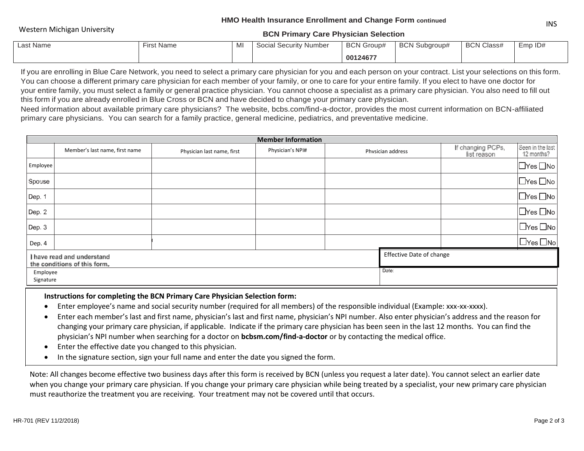## **HMO Health Insurance Enrollment and Change Form continued** INNO HEART ITSURATE ENTOINENT AND CHANGE TOTT COMMUNISMENT ON A CONTROLLER CONTROLLER THE CONTROLLER OF THE CONTROLLER ON THE CONTROLLER ON THE CONTROLLER ON A SAME OF THE CONTROLLER ON A SAME OF THE CONTROLLER OF THE CONT

## **BCN Primary Care Physician Selection**

| Last Name | <b>First Name</b> | M | Social Security Number | <b>BCN Group#</b> | <b>BCN Subgroup#</b> | <b>BCN Class#</b> | EmpID# |
|-----------|-------------------|---|------------------------|-------------------|----------------------|-------------------|--------|
|           |                   |   |                        | 00124677          |                      |                   |        |

If you are enrolling in Blue Care Network, you need to select a primary care physician for you and each person on your contract. List your selections on this form. You can choose a different primary care physician for each member of your family, or one to care for your entire family. If you elect to have one doctor for your entire family, you must select a family or general practice physician. You cannot choose a specialist as a primary care physician. You also need to fill out this form if you are already enrolled in Blue Cross or BCN and have decided to change your primary care physician.

Need information about available primary care physicians? The website, bcbs.com/find-a-doctor, provides the most current information on BCN-affiliated primary care physicians. You can search for a family practice, general medicine, pediatrics, and preventative medicine.

| <b>Member Information</b> |                                                            |                            |                  |                   |  |                                  |                                |  |  |  |  |
|---------------------------|------------------------------------------------------------|----------------------------|------------------|-------------------|--|----------------------------------|--------------------------------|--|--|--|--|
|                           | Member's last name, first name                             | Physician last name, first | Physician's NPI# | Physician address |  | If changing PCPs,<br>list reason | Seen in the last<br>12 months? |  |  |  |  |
| <b>Employee</b>           |                                                            |                            |                  |                   |  |                                  | $\Box$ Yes $\Box$ No           |  |  |  |  |
| Spouse                    |                                                            |                            |                  |                   |  |                                  | $\Box$ Yes $\Box$ No           |  |  |  |  |
| $\vert$ Dep. 1            |                                                            |                            |                  |                   |  |                                  | $\Box$ Yes $\Box$ No           |  |  |  |  |
| Dep. 2                    |                                                            |                            |                  |                   |  |                                  | $\Box$ Yes $\Box$ No           |  |  |  |  |
| Dep. 3                    |                                                            |                            |                  |                   |  |                                  | $\Box$ Yes $\Box$ No           |  |  |  |  |
| Dep. 4                    |                                                            |                            |                  |                   |  |                                  | $\Box$ Yes $\Box$ No           |  |  |  |  |
|                           | I have read and understand<br>the conditions of this form. | Effective Date of change   |                  |                   |  |                                  |                                |  |  |  |  |
| Employee<br>Signature     |                                                            | Date:                      |                  |                   |  |                                  |                                |  |  |  |  |

# Instructions for completing the BCN Primary Care Physician Selection form: **Instructions for completing the BCN Primary Care Physician Selection form:**

- Enter employee's name and social security number (required for all members) of the responsible individual (Example: xxx-xx-xxxx).
- Enter each member's last and first name, physician's last and first name, physician's NPI number. Also enter physician's address and the reason for changing your primary care physician, if applicable. Indicate if the primary care physician has been seen in the last 12 months. You can find the physician's NPI number when searching for a doctor on **bcbsm.com/find-a-doctor** or by contacting the medical office.
- Enter the effective date you changed to this physician. Enter the effective date you changed to this physician.
- In the signature section, sign your full name and enter the date you signed the form. In the signature section, sign your full name and enter the date you signed the form.

Note: All changes become effective two business days after this form is received by BCN (unless you request a later date). You cannot select an earlier date when you change your primary care physician. If you change your primary care physician while being treated by a specialist, your new primary care physician must reauthorize the treatment you are receiving. Your treatment may not be covered until that occurs.